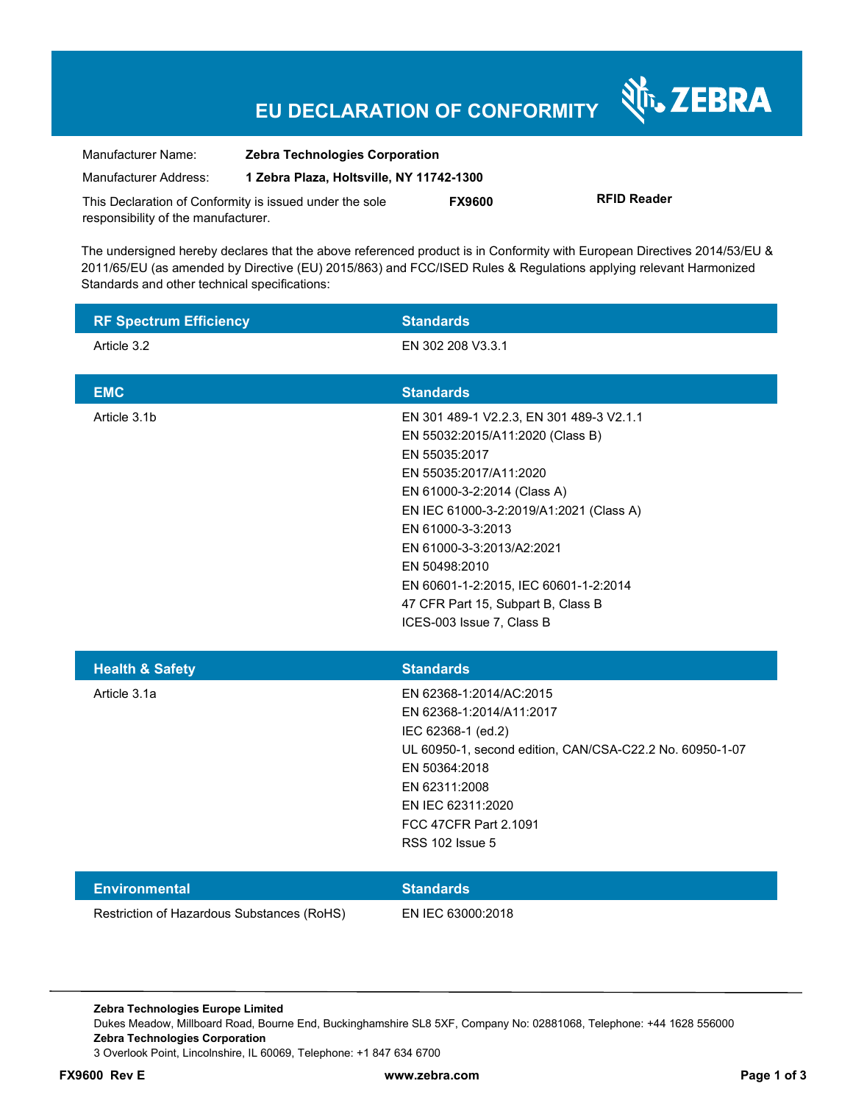# **EU DECLARATION OF CONFORMITY**

Nr. ZEBRA

| Manufacturer Name:                                      | <b>Zebra Technologies Corporation</b>    |               |                    |
|---------------------------------------------------------|------------------------------------------|---------------|--------------------|
| Manufacturer Address:                                   | 1 Zebra Plaza, Holtsville, NY 11742-1300 |               |                    |
| This Declaration of Conformity is issued under the sole |                                          | <b>FX9600</b> | <b>RFID Reader</b> |
| responsibility of the manufacturer.                     |                                          |               |                    |

The undersigned hereby declares that the above referenced product is in Conformity with European Directives 2014/53/EU & 2011/65/EU (as amended by Directive (EU) 2015/863) and FCC/ISED Rules & Regulations applying relevant Harmonized Standards and other technical specifications:

| <b>RF Spectrum Efficiency</b>              | <b>Standards</b>                                                                                                                                                                                                                                                                                                                                                                 |
|--------------------------------------------|----------------------------------------------------------------------------------------------------------------------------------------------------------------------------------------------------------------------------------------------------------------------------------------------------------------------------------------------------------------------------------|
| Article 3.2                                | EN 302 208 V3.3.1                                                                                                                                                                                                                                                                                                                                                                |
| <b>EMC</b>                                 | <b>Standards</b>                                                                                                                                                                                                                                                                                                                                                                 |
| Article 3.1b                               | EN 301 489-1 V2.2.3, EN 301 489-3 V2.1.1<br>EN 55032:2015/A11:2020 (Class B)<br>EN 55035:2017<br>EN 55035:2017/A11:2020<br>EN 61000-3-2:2014 (Class A)<br>EN IEC 61000-3-2:2019/A1:2021 (Class A)<br>EN 61000-3-3:2013<br>EN 61000-3-3:2013/A2:2021<br>EN 50498:2010<br>EN 60601-1-2:2015, IEC 60601-1-2:2014<br>47 CFR Part 15, Subpart B, Class B<br>ICES-003 Issue 7, Class B |
| <b>Health &amp; Safety</b>                 | <b>Standards</b>                                                                                                                                                                                                                                                                                                                                                                 |
| Article 3.1a                               | EN 62368-1:2014/AC:2015<br>EN 62368-1:2014/A11:2017<br>IEC 62368-1 (ed.2)<br>UL 60950-1, second edition, CAN/CSA-C22.2 No. 60950-1-07<br>EN 50364:2018<br>EN 62311:2008<br>EN IEC 62311:2020<br>FCC 47CFR Part 2.1091<br><b>RSS 102 Issue 5</b>                                                                                                                                  |
| <b>Environmental</b>                       | <b>Standards</b>                                                                                                                                                                                                                                                                                                                                                                 |
| Restriction of Hazardous Substances (RoHS) | EN IEC 63000:2018                                                                                                                                                                                                                                                                                                                                                                |

**Zebra Technologies Europe Limited**  Dukes Meadow, Millboard Road, Bourne End, Buckinghamshire SL8 5XF, Company No: 02881068, Telephone: +44 1628 556000 **Zebra Technologies Corporation**  3 Overlook Point, Lincolnshire, IL 60069, Telephone: +1 847 634 6700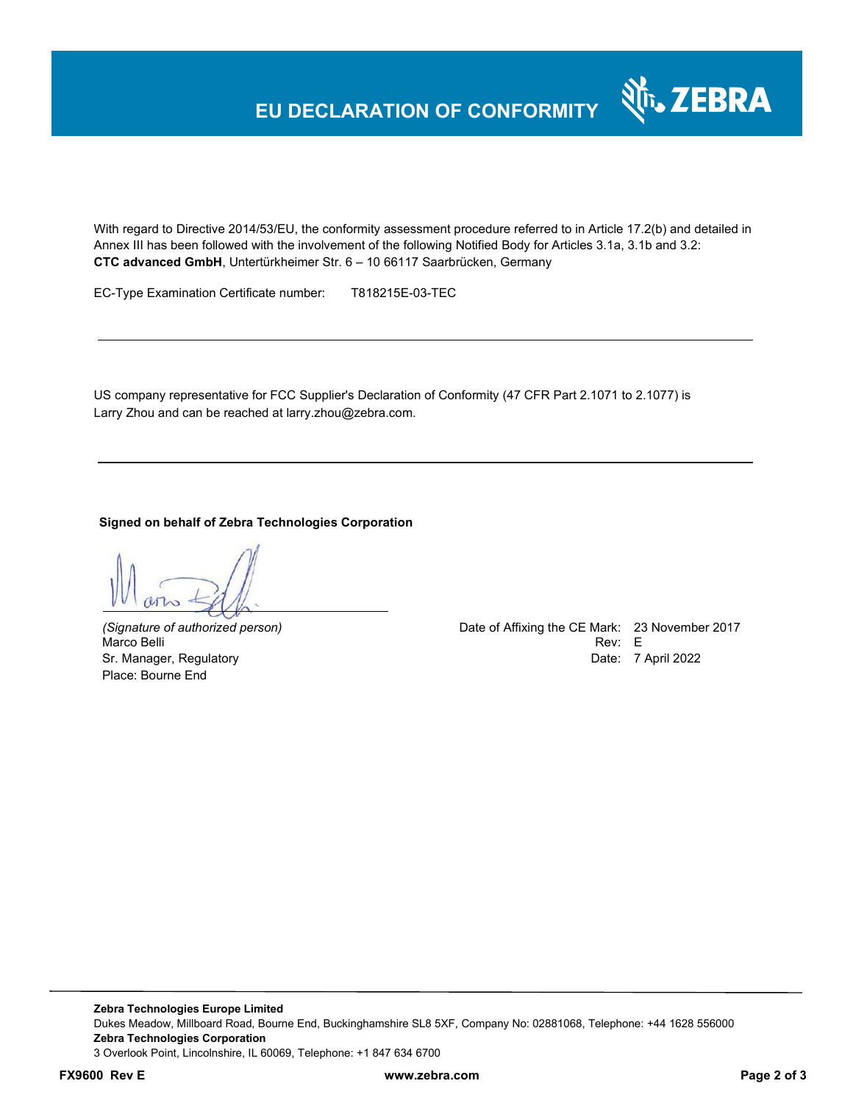With regard to Directive 2014/53/EU, the conformity assessment procedure referred to in Article 17.2(b) and detailed in Annex III has been followed with the involvement of the following Notified Body for Articles 3.1a, 3.1b and 3.2: **CTC advanced GmbH**, Untertürkheimer Str. 6 – 10 66117 Saarbrücken, Germany

EC-Type Examination Certificate number: T818215E-03-TEC

US company representative for FCC Supplier's Declaration of Conformity (47 CFR Part 2.1071 to 2.1077) is Larry Zhou and can be reached at larry.zhou@zebra.com.

**Signed on behalf of Zebra Technologies Corporation** 

Place: Bourne End

*(Signature of authorized person)* Date of Affixing the CE Mark: 23 November 2017 Marco Belli Rev: E Sr. Manager, Regulatory **Date: 7 April 2022** 

र्शे<sub>ं</sub> ZEBRA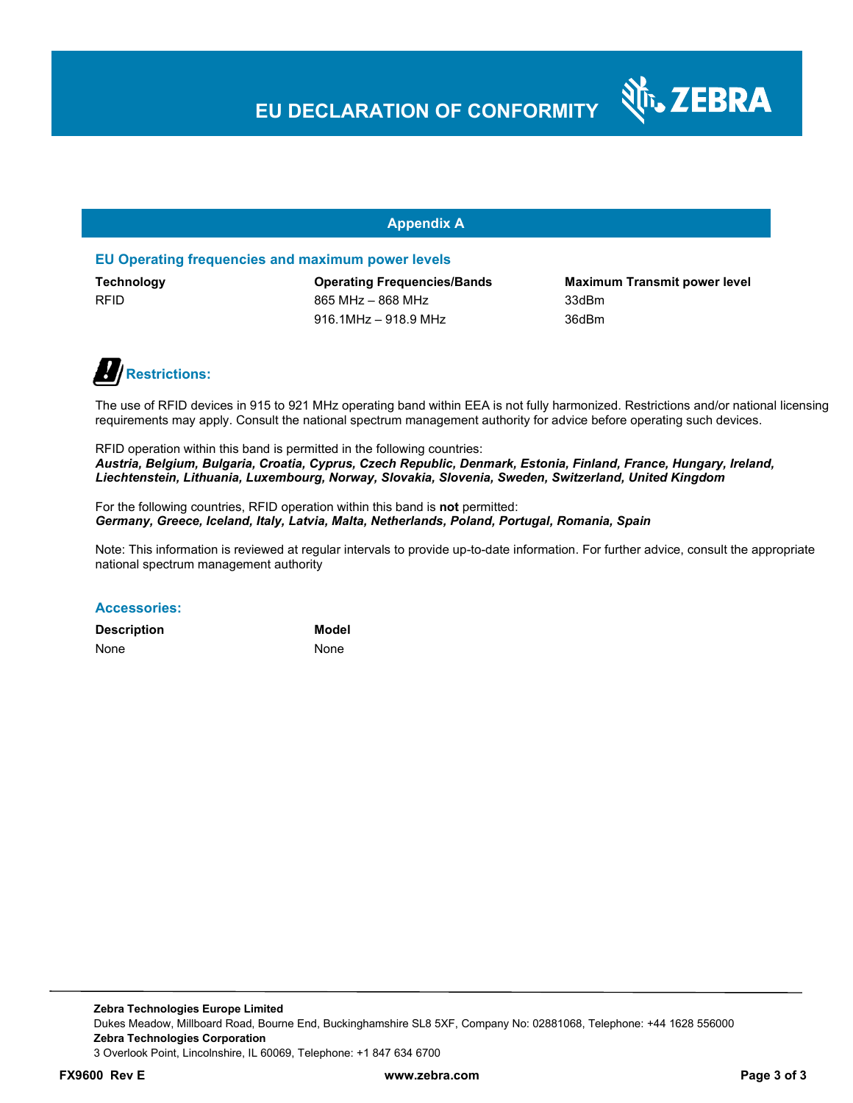# **EU DECLARATION OF CONFORMITY**

#### **Appendix A**

#### **EU Operating frequencies and maximum power levels**

RFID 865 MHz – 868 MHz – 868 MHz 33dBm 916.1MHz – 918.9 MHz 36dBm

**Technology Operating Frequencies/Bands Maximum Transmit power level** 

N<sub>T</sub>, ZEBRA



The use of RFID devices in 915 to 921 MHz operating band within EEA is not fully harmonized. Restrictions and/or national licensing requirements may apply. Consult the national spectrum management authority for advice before operating such devices.

RFID operation within this band is permitted in the following countries: *Austria, Belgium, Bulgaria, Croatia, Cyprus, Czech Republic, Denmark, Estonia, Finland, France, Hungary, Ireland, Liechtenstein, Lithuania, Luxembourg, Norway, Slovakia, Slovenia, Sweden, Switzerland, United Kingdom* 

For the following countries, RFID operation within this band is **not** permitted: *Germany, Greece, Iceland, Italy, Latvia, Malta, Netherlands, Poland, Portugal, Romania, Spain* 

Note: This information is reviewed at regular intervals to provide up-to-date information. For further advice, consult the appropriate national spectrum management authority

#### **Accessories:**

| <b>Description</b> | <b>Model</b> |
|--------------------|--------------|
| None               | None         |

**Zebra Technologies Europe Limited**  Dukes Meadow, Millboard Road, Bourne End, Buckinghamshire SL8 5XF, Company No: 02881068, Telephone: +44 1628 556000 **Zebra Technologies Corporation**  3 Overlook Point, Lincolnshire, IL 60069, Telephone: +1 847 634 6700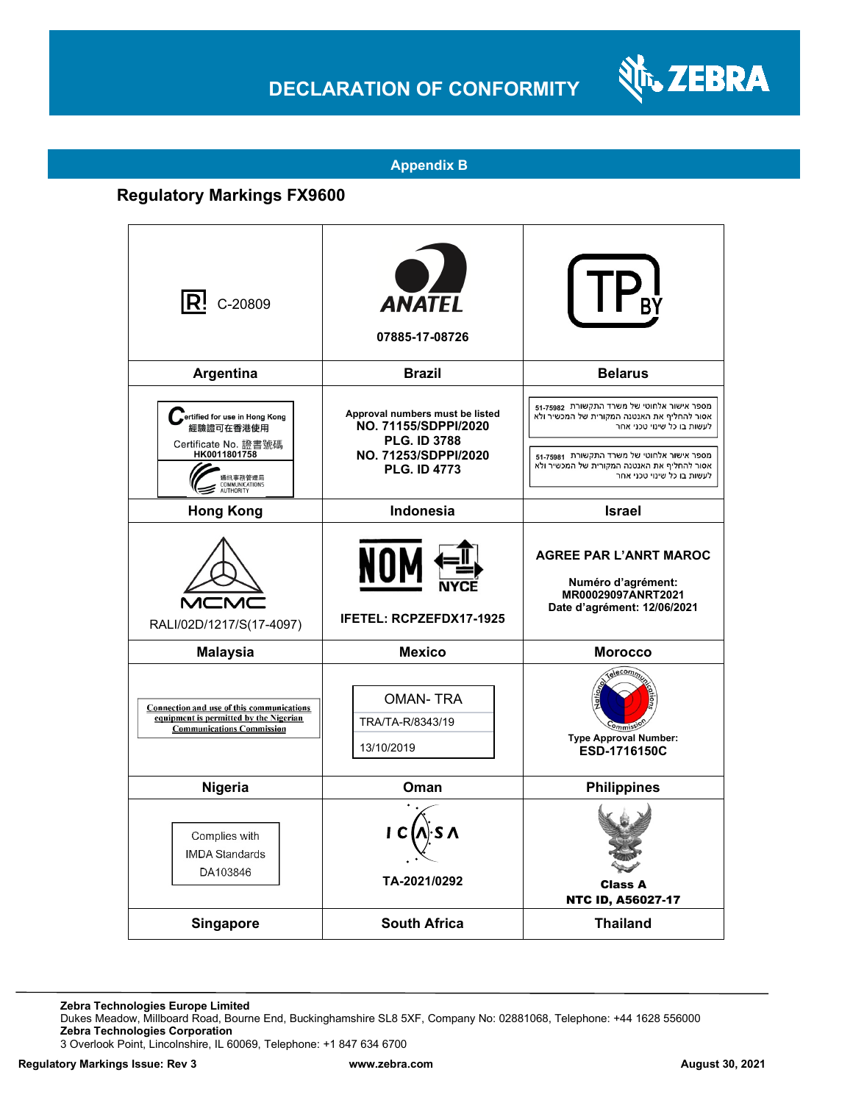### **DECLARATION OF CONFORMITY**



#### **Appendix B**

### **Regulatory Markings FX9600**

| $ {\sf R}!$ c-20809                                                                                                          | <b>ANATEL</b><br>07885-17-08726                                                                                               |                                                                                                                                                                                                                                                    |
|------------------------------------------------------------------------------------------------------------------------------|-------------------------------------------------------------------------------------------------------------------------------|----------------------------------------------------------------------------------------------------------------------------------------------------------------------------------------------------------------------------------------------------|
| Argentina                                                                                                                    | <b>Brazil</b>                                                                                                                 | <b>Belarus</b>                                                                                                                                                                                                                                     |
| ertified for use in Hong Kong<br>經驗證可在香港使用<br>Certificate No. 證書號碼<br>HK0011801758<br>通訊事務管理局<br>COMMUNICATIONS<br>AUTHORITY | Approval numbers must be listed<br>NO. 71155/SDPPI/2020<br><b>PLG. ID 3788</b><br>NO. 71253/SDPPI/2020<br><b>PLG. ID 4773</b> | מספר אישור אלחוטי של משרד התקשורת 51-75982<br>אסור להחליף את האנטנה המקורית של המכשיר ולא<br>לעשות בו כל שינוי טכני אחר<br>מספר אישור אלחוטי של משרד התקשורת 51-75981<br>אסור להחליף את האנטנה המקורית של המכשיר ולא<br>לעשות בו כל שינוי טכני אחר |
| <b>Hong Kong</b>                                                                                                             | Indonesia                                                                                                                     | <b>Israel</b>                                                                                                                                                                                                                                      |
| MCN<br>RALI/02D/1217/S(17-4097)                                                                                              | NO<br><b>IFETEL: RCPZEFDX17-1925</b>                                                                                          | <b>AGREE PAR L'ANRT MAROC</b><br>Numéro d'agrément:<br>MR00029097ANRT2021<br>Date d'agrément: 12/06/2021                                                                                                                                           |
| <b>Malaysia</b>                                                                                                              | <b>Mexico</b>                                                                                                                 | <b>Morocco</b>                                                                                                                                                                                                                                     |
| Connection and use of this communications<br>equipment is permitted by the Nigerian<br><b>Communications Commission</b>      | <b>OMAN-TRA</b><br>TRA/TA-R/8343/19<br>13/10/2019                                                                             | relecomm<br><b>Type Approval Number:</b><br>ESD-1716150C                                                                                                                                                                                           |
| Nigeria                                                                                                                      | Oman                                                                                                                          | <b>Philippines</b>                                                                                                                                                                                                                                 |
| Complies with<br><b>IMDA Standards</b><br>DA103846                                                                           | I C<br>TA-2021/0292                                                                                                           | <b>Class A</b><br>NTC ID, A56027-17                                                                                                                                                                                                                |
| Singapore                                                                                                                    | <b>South Africa</b>                                                                                                           | <b>Thailand</b>                                                                                                                                                                                                                                    |

**Zebra Technologies Europe Limited**

Dukes Meadow, Millboard Road, Bourne End, Buckinghamshire SL8 5XF, Company No: 02881068, Telephone: +44 1628 556000 **Zebra Technologies Corporation** 

3 Overlook Point, Lincolnshire, IL 60069, Telephone: +1 847 634 6700